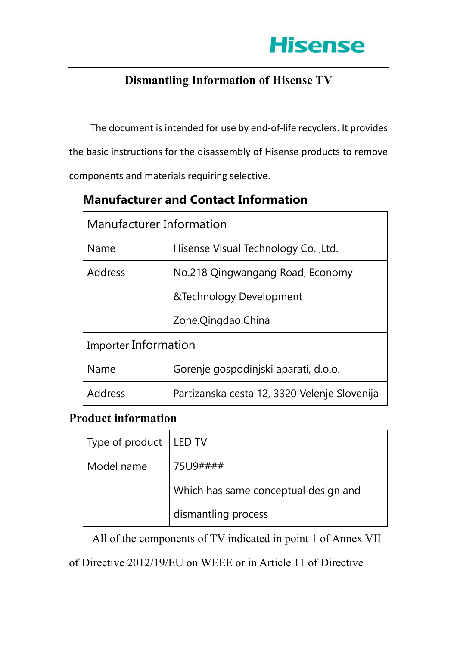

## **Dismantling Information of Hisense TV**

The document is intended for use by end-of-life recyclers. It provides the basic instructions for the disassembly of Hisense products to remove components and materials requiring selective.

| Manufacturer Information    |                                              |  |
|-----------------------------|----------------------------------------------|--|
| Name                        | Hisense Visual Technology Co., Ltd.          |  |
| Address                     | No.218 Qingwangang Road, Economy             |  |
|                             | &Technology Development                      |  |
|                             | Zone.Qingdao.China                           |  |
| <b>Importer Information</b> |                                              |  |
| Name                        | Gorenje gospodinjski aparati, d.o.o.         |  |
| Address                     | Partizanska cesta 12, 3320 Velenje Slovenija |  |

# **Manufacturer and Contact Information**

## **Product information**

| Type of product   LED TV |                                      |
|--------------------------|--------------------------------------|
| Model name               | 75U9####                             |
|                          | Which has same conceptual design and |
|                          | dismantling process                  |

All of the components of TV indicated in point 1 of Annex VII

of Directive 2012/19/EU on WEEE or in Article 11 of Directive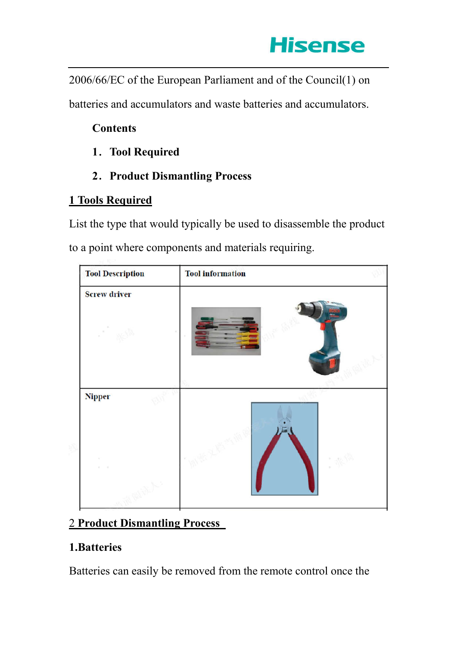

2006/66/EC of the European Parliament and of the Council(1) on

batteries and accumulators and waste batteries and accumulators.

## **Contents**

- **1**.**Tool Required**
- **2**.**Product Dismantling Process**

## **1 Tools Required**

List the type that would typically be used to disassemble the product to a point where components and materials requiring.

| <b>Tool Description</b> | <b>Tool</b> information |
|-------------------------|-------------------------|
| <b>Screw driver</b>     | $\alpha$                |
| <b>Nipper</b>           |                         |

## 2 **Product Dismantling Process**●

## **1.Batteries**

Batteries can easily be removed from the remote control once the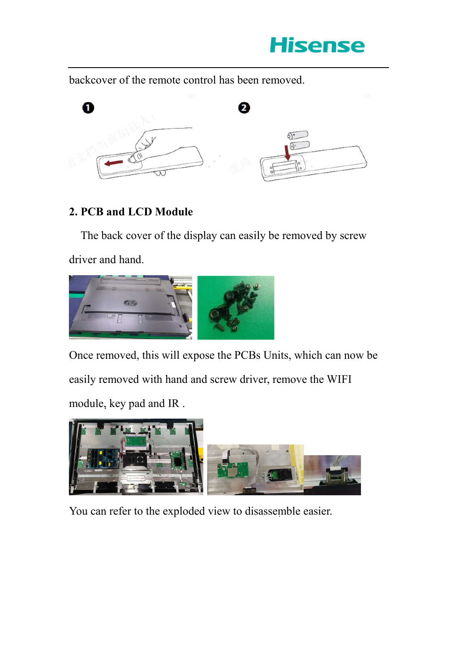

backcover of the remote control has been removed.



## **2. PCB and LCD Module**

The back cover of the display can easily be removed by screw

driver and hand.



Once removed, this will expose the PCBs Units, which can now be easily removed with hand and screw driver, remove the WIFI module, key pad and IR.



You can refer to the exploded view to disassemble easier.